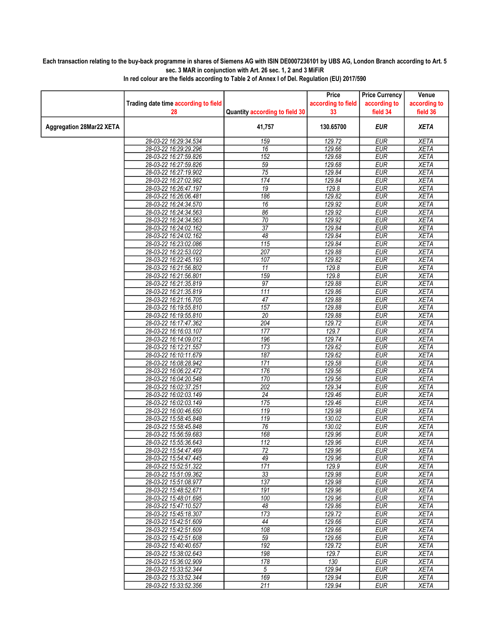## Each transaction relating to the buy-back programme in shares of Siemens AG with ISIN DE0007236101 by UBS AG, London Branch according to Art. 5 sec. 3 MAR in conjunction with Art. 26 sec. 1, 2 and 3 MiFiR

|                          |                                                |                                | Price              | <b>Price Currency</b>    | Venue                      |
|--------------------------|------------------------------------------------|--------------------------------|--------------------|--------------------------|----------------------------|
|                          | Trading date time according to field           |                                | according to field | according to             | according to               |
|                          | 28                                             | Quantity according to field 30 | 33                 | field 34                 | field 36                   |
| Aggregation 28Mar22 XETA |                                                | 41,757                         | 130.65700          | EUR                      | <b>XETA</b>                |
|                          | 28-03-22 16:29:34.534                          | 159                            | 129.72             | <b>EUR</b>               | <b>XETA</b>                |
|                          | 28-03-22 16:29:29.296                          | 16                             | 129.66             | <b>EUR</b>               | <b>XETA</b>                |
|                          | 28-03-22 16:27:59.826                          | 152                            | 129.68             | <b>EUR</b>               | <b>XETA</b>                |
|                          | 28-03-22 16:27:59.826                          | 59                             | 129.68             | <b>EUR</b>               | <b>XETA</b>                |
|                          | 28-03-22 16:27:19.902                          | 75                             | 129.84             | <b>EUR</b>               | <b>XETA</b>                |
|                          | 28-03-22 16:27:02.982                          | 174                            | 129.84             | <b>EUR</b>               | <b>XETA</b>                |
|                          | 28-03-22 16:26:47.197                          | 19                             | 129.8              | <b>EUR</b>               | <b>XETA</b>                |
|                          | 28-03-22 16:26:06.481                          | 186                            | 129.82             | <b>EUR</b>               | <b>XETA</b>                |
|                          | 28-03-22 16:24:34.570                          | 16                             | 129.92             | <b>EUR</b>               | <b>XETA</b>                |
|                          | 28-03-22 16:24:34.563                          | 86                             | 129.92             | <b>EUR</b>               | <b>XETA</b>                |
|                          | 28-03-22 16:24:34.563                          | 70                             | 129.92             | <b>EUR</b>               | <b>XETA</b>                |
|                          | 28-03-22 16:24:02.162                          | $\overline{37}$                | 129.84             | <b>EUR</b>               | <b>XETA</b>                |
|                          | 28-03-22 16:24:02.162                          | 48                             | 129.84             | <b>EUR</b>               | <b>XETA</b>                |
|                          | 28-03-22 16:23:02.086                          | 115                            | 129.84             | <b>EUR</b>               | <b>XETA</b>                |
|                          | 28-03-22 16:22:53.022                          | 207                            | 129.88             | <b>EUR</b>               | <b>XETA</b>                |
|                          | 28-03-22 16:22:45.193                          | 107                            | 129.82             | <b>EUR</b>               | <b>XETA</b>                |
|                          | 28-03-22 16:21:56.802                          | 11                             | 129.8              | <b>EUR</b>               | <b>XETA</b>                |
|                          | 28-03-22 16:21:56.801                          | 159                            | 129.8              | EUR                      | <b>XETA</b>                |
|                          | 28-03-22 16:21:35.819                          | $\overline{97}$                | 129.88             | <b>EUR</b>               | <b>XETA</b>                |
|                          | 28-03-22 16:21:35.819                          | $\overline{111}$               | 129.86<br>129.88   | <b>EUR</b>               | <b>XETA</b>                |
|                          | 28-03-22 16:21:16.705                          | 47                             |                    | <b>EUR</b><br><b>EUR</b> | <b>XETA</b>                |
|                          | 28-03-22 16:19:55.810                          | 157<br>$\overline{20}$         | 129.88             | <b>EUR</b>               | <b>XETA</b>                |
|                          | 28-03-22 16:19:55.810<br>28-03-22 16:17:47.362 | 204                            | 129.88<br>129.72   | <b>EUR</b>               | <b>XETA</b><br><b>XETA</b> |
|                          | 28-03-22 16:16:03.107                          | $\overline{177}$               | 129.7              | <b>EUR</b>               | <b>XETA</b>                |
|                          | 28-03-22 16:14:09.012                          | 196                            | 129.74             | <b>EUR</b>               | <b>XETA</b>                |
|                          | 28-03-22 16:12:21.557                          | 173                            | 129.62             | <b>EUR</b>               | <b>XETA</b>                |
|                          | 28-03-22 16:10:11.679                          | 187                            | 129.62             | <b>EUR</b>               | <b>XETA</b>                |
|                          | 28-03-22 16:08:28.942                          | 171                            | 129.58             | <b>EUR</b>               | <b>XETA</b>                |
|                          | 28-03-22 16:06:22.472                          | 176                            | 129.56             | <b>EUR</b>               | <b>XETA</b>                |
|                          | 28-03-22 16:04:20.548                          | 170                            | 129.56             | <b>EUR</b>               | <b>XETA</b>                |
|                          | 28-03-22 16:02:37.251                          | 202                            | 129.34             | <b>EUR</b>               | <b>XETA</b>                |
|                          | 28-03-22 16:02:03.149                          | $\overline{24}$                | 129.46             | <b>EUR</b>               | <b>XETA</b>                |
|                          | 28-03-22 16:02:03.149                          | 175                            | 129.46             | <b>EUR</b>               | <b>XETA</b>                |
|                          | 28-03-22 16:00:46.650                          | 119                            | 129.98             | <b>EUR</b>               | <b>XETA</b>                |
|                          | 28-03-22 15:58:45.848                          | $\overline{119}$               | 130.02             | <b>EUR</b>               | <b>XETA</b>                |
|                          | 28-03-22 15:58:45.848                          | 76                             | 130.02             | <b>EUR</b>               | <b>XETA</b>                |
|                          | 28-03-22 15:56:59.683                          | 168                            | 129.96             | <b>EUR</b>               | <b>XETA</b>                |
|                          | 28-03-22 15:55:36.643                          | 112                            | 129.96             | <b>EUR</b>               | <b>XETA</b>                |
|                          | 28-03-22 15:54:47.469                          | $\overline{72}$                | 129.96             | <b>EUR</b>               | <b>XETA</b>                |
|                          | 28-03-22 15:54:47.445                          | 49                             | 129.96             | EUR                      | XETA                       |
|                          | 28-03-22 15:52:51.322                          | 171                            | 129.9              | <b>EUR</b>               | <b>XETA</b>                |
|                          | 28-03-22 15:51:09.362                          | 33                             | 129.98             | <b>EUR</b>               | <b>XETA</b>                |
|                          | 28-03-22 15:51:08.977                          | 137                            | 129.98             | <b>EUR</b>               | XETA                       |
|                          | 28-03-22 15:48:52.671                          | 191                            | 129.96             | <b>EUR</b>               | <b>XETA</b>                |
|                          | 28-03-22 15:48:01.695                          | 100                            | 129.96             | <b>EUR</b>               | <b>XETA</b>                |
|                          | 28-03-22 15:47:10.527                          | 48                             | 129.86             | <b>EUR</b>               | <b>XETA</b>                |
|                          | 28-03-22 15:45:18.307                          | 173                            | 129.72             | <b>EUR</b>               | <b>XETA</b>                |
|                          | 28-03-22 15:42:51.609                          | 44                             | 129.66             | <b>EUR</b>               | <b>XETA</b>                |
|                          | 28-03-22 15:42:51.609                          | 108                            | 129.66             | <b>EUR</b>               | <b>XETA</b>                |
|                          | 28-03-22 15:42:51.608                          | 59                             | 129.66             | <b>EUR</b>               | <b>XETA</b>                |
|                          | 28-03-22 15:40:40.657                          | 192                            | 129.72             | <b>EUR</b>               | <b>XETA</b>                |
|                          | 28-03-22 15:38:02.643                          | 198                            | 129.7              | <b>EUR</b>               | <b>XETA</b>                |
|                          | 28-03-22 15:36:02.909                          | 178                            | 130                | <b>EUR</b>               | <b>XETA</b>                |
|                          | 28-03-22 15:33:52.344                          | 5                              | 129.94             | <b>EUR</b>               | <b>XETA</b>                |
|                          | 28-03-22 15:33:52.344                          | 169                            | 129.94             | <b>EUR</b>               | <b>XETA</b>                |
|                          | 28-03-22 15:33:52.356                          | 211                            | 129.94             | EUR                      | <b>XETA</b>                |

In red colour are the fields according to Table 2 of Annex I of Del. Regulation (EU) 2017/590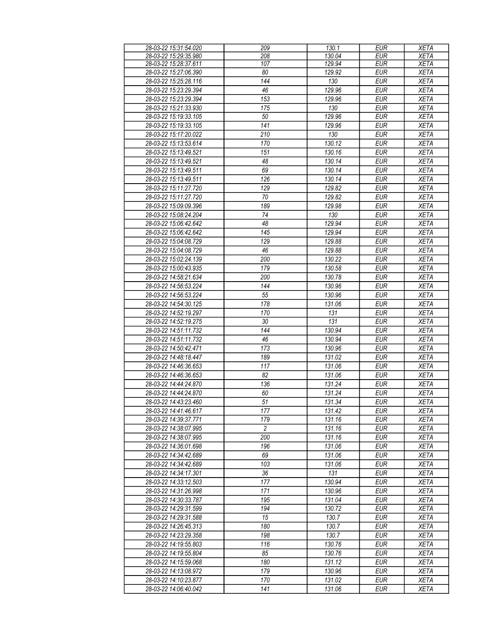| 28-03-22 15:31:54.020 | 209             | 130.1  | <b>EUR</b> | <b>XETA</b> |
|-----------------------|-----------------|--------|------------|-------------|
| 28-03-22 15:29:35.980 | 208             | 130.04 | EUR        | <b>XETA</b> |
| 28-03-22 15:28:37.611 | 107             | 129.94 | <b>EUR</b> | <b>XETA</b> |
|                       |                 |        |            |             |
| 28-03-22 15:27:06.390 | 80              | 129.92 | <b>EUR</b> | <b>XETA</b> |
| 28-03-22 15:25:28.116 | 144             | 130    | <b>EUR</b> | <b>XETA</b> |
| 28-03-22 15:23:29.394 | 46              | 129.96 | <b>EUR</b> | <b>XETA</b> |
| 28-03-22 15:23:29.394 | 153             | 129.96 | <b>EUR</b> | <b>XETA</b> |
| 28-03-22 15:21:33.930 | 175             | 130    | <b>EUR</b> | <b>XETA</b> |
|                       |                 |        |            |             |
| 28-03-22 15:19:33.105 | 50              | 129.96 | <b>EUR</b> | <b>XETA</b> |
| 28-03-22 15:19:33.105 | 141             | 129.96 | <b>EUR</b> | <b>XETA</b> |
| 28-03-22 15:17:20.022 | 210             | 130    | <b>EUR</b> | <b>XETA</b> |
| 28-03-22 15:13:53.614 | 170             | 130.12 | <b>EUR</b> | <b>XETA</b> |
|                       |                 |        | <b>EUR</b> |             |
| 28-03-22 15:13:49.521 | 151             | 130.16 |            | <b>XETA</b> |
| 28-03-22 15:13:49.521 | 48              | 130.14 | <b>EUR</b> | <b>XETA</b> |
| 28-03-22 15:13:49.511 | 69              | 130.14 | <b>EUR</b> | <b>XETA</b> |
| 28-03-22 15:13:49.511 | 126             | 130.14 | <b>EUR</b> | <b>XETA</b> |
| 28-03-22 15:11:27.720 | 129             | 129.82 | <b>EUR</b> | <b>XETA</b> |
|                       | 70              |        | <b>EUR</b> |             |
| 28-03-22 15:11:27.720 |                 | 129.82 |            | <b>XETA</b> |
| 28-03-22 15:09:09.396 | 189             | 129.98 | <b>EUR</b> | <b>XETA</b> |
| 28-03-22 15:08:24.204 | 74              | 130    | <b>EUR</b> | <b>XETA</b> |
| 28-03-22 15:06:42.642 | 48              | 129.94 | <b>EUR</b> | <b>XETA</b> |
| 28-03-22 15:06:42.642 | 145             | 129.94 | <b>EUR</b> | <b>XETA</b> |
|                       |                 |        |            |             |
| 28-03-22 15:04:08.729 | 129             | 129.88 | <b>EUR</b> | <b>XETA</b> |
| 28-03-22 15:04:08.729 | 46              | 129.88 | <b>EUR</b> | <b>XETA</b> |
| 28-03-22 15:02:24.139 | 200             | 130.22 | <b>EUR</b> | <b>XETA</b> |
| 28-03-22 15:00:43.935 | 179             | 130.58 | <b>EUR</b> | <b>XETA</b> |
| 28-03-22 14:58:21.634 | 200             | 130.78 | <b>EUR</b> | <b>XETA</b> |
|                       | 144             |        |            |             |
| 28-03-22 14:56:53.224 |                 | 130.96 | <b>EUR</b> | <b>XETA</b> |
| 28-03-22 14:56:53.224 | 55              | 130.96 | <b>EUR</b> | <b>XETA</b> |
| 28-03-22 14:54:30.125 | 178             | 131.06 | <b>EUR</b> | <b>XETA</b> |
| 28-03-22 14:52:19.297 | 170             | 131    | <b>EUR</b> | <b>XETA</b> |
| 28-03-22 14:52:19.275 | 30              | 131    | <b>EUR</b> | <b>XETA</b> |
|                       | 144             |        | <b>EUR</b> |             |
| 28-03-22 14:51:11.732 |                 | 130.94 |            | <b>XETA</b> |
| 28-03-22 14:51:11.732 | 46              | 130.94 | <b>EUR</b> | <b>XETA</b> |
| 28-03-22 14:50:42.471 | 173             | 130.96 | <b>EUR</b> | <b>XETA</b> |
| 28-03-22 14:48:18.447 | 189             | 131.02 | <b>EUR</b> | <b>XETA</b> |
| 28-03-22 14:46:36.653 | 117             | 131.06 | <b>EUR</b> | <b>XETA</b> |
| 28-03-22 14:46:36.653 | 82              | 131.06 | <b>EUR</b> | <b>XETA</b> |
|                       |                 |        |            |             |
| 28-03-22 14:44:24.870 | 136             | 131.24 | <b>EUR</b> | <b>XETA</b> |
| 28-03-22 14:44:24.870 | 60              | 131.24 | <b>EUR</b> | <b>XETA</b> |
| 28-03-22 14:43:23.460 | $\overline{51}$ | 131.34 | <b>EUR</b> | <b>XETA</b> |
| 28-03-22 14:41:46.617 | 177             | 131.42 | <b>EUR</b> | <b>XETA</b> |
| 28-03-22 14:39:37.771 | 179             | 131.16 | EUR        | <b>XETA</b> |
|                       |                 |        |            |             |
| 28-03-22 14:38:07.995 | $\overline{c}$  | 131.16 | <b>EUR</b> | <b>XETA</b> |
| 28-03-22 14:38:07.995 | 200             | 131.16 | <b>EUR</b> | <b>XETA</b> |
| 28-03-22 14:36:01.698 | 196             | 131.06 | <b>EUR</b> | <b>XETA</b> |
| 28-03-22 14:34:42.689 | 69              | 131.06 | <b>EUR</b> | <b>XETA</b> |
| 28-03-22 14:34:42.689 | 103             | 131.06 | <b>EUR</b> | <b>XETA</b> |
| 28-03-22 14:34:17.301 | 36              | 131    | <b>EUR</b> | <b>XETA</b> |
|                       |                 |        |            |             |
| 28-03-22 14:33:12.503 | 177             | 130.94 | <b>EUR</b> | <b>XETA</b> |
| 28-03-22 14:31:26.998 | 171             | 130.96 | <b>EUR</b> | <b>XETA</b> |
| 28-03-22 14:30:33.787 | 195             | 131.04 | <b>EUR</b> | <b>XETA</b> |
| 28-03-22 14:29:31.599 | 194             | 130.72 | <b>EUR</b> | <b>XETA</b> |
| 28-03-22 14:29:31.588 | 15              | 130.7  | <b>EUR</b> | <b>XETA</b> |
|                       |                 |        |            |             |
| 28-03-22 14:26:45.313 | 180             | 130.7  | <b>EUR</b> | <b>XETA</b> |
| 28-03-22 14:23:29.358 | 198             | 130.7  | <b>EUR</b> | <b>XETA</b> |
| 28-03-22 14:19:55.803 | 116             | 130.76 | <b>EUR</b> | <b>XETA</b> |
| 28-03-22 14:19:55.804 | 85              | 130.76 | <b>EUR</b> | <b>XETA</b> |
| 28-03-22 14:15:59.068 | 180             | 131.12 | <b>EUR</b> | <b>XETA</b> |
|                       |                 |        |            |             |
| 28-03-22 14:13:08.972 | 179             | 130.96 | <b>EUR</b> | <b>XETA</b> |
| 28-03-22 14:10:23.877 | 170             | 131.02 | <b>EUR</b> | <b>XETA</b> |
| 28-03-22 14:06:40.042 | 141             | 131.06 | <b>EUR</b> | <b>XETA</b> |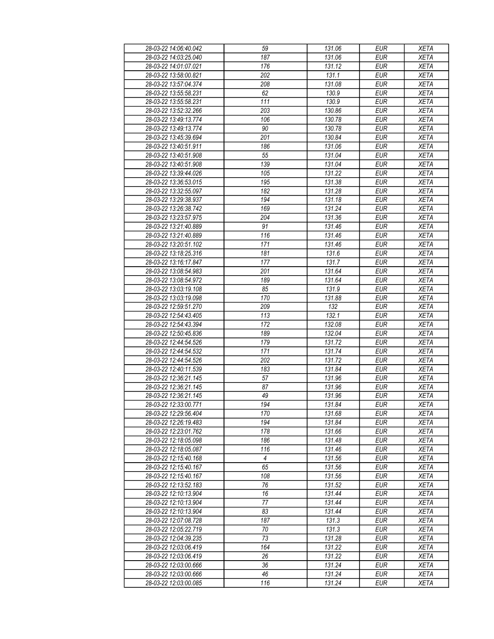| 28-03-22 14:06:40.042 | 59             | 131.06 | <b>EUR</b> | <b>XETA</b> |
|-----------------------|----------------|--------|------------|-------------|
| 28-03-22 14:03:25.040 | 187            | 131.06 | <b>EUR</b> | <b>XETA</b> |
| 28-03-22 14:01:07.021 | 176            | 131.12 | <b>EUR</b> | <b>XETA</b> |
| 28-03-22 13:58:00.821 | 202            | 131.1  | <b>EUR</b> | <b>XETA</b> |
| 28-03-22 13:57:04.374 | 208            | 131.08 | <b>EUR</b> | <b>XETA</b> |
| 28-03-22 13:55:58.231 | 62             | 130.9  | <b>EUR</b> | <b>XETA</b> |
| 28-03-22 13:55:58.231 | 111            | 130.9  | <b>EUR</b> | <b>XETA</b> |
| 28-03-22 13:52:32.266 | 203            | 130.86 | <b>EUR</b> | <b>XETA</b> |
| 28-03-22 13:49:13.774 | 106            | 130.78 | <b>EUR</b> | <b>XETA</b> |
| 28-03-22 13:49:13.774 | 90             | 130.78 | <b>EUR</b> | <b>XETA</b> |
| 28-03-22 13:45:39.694 | 201            | 130.84 | <b>EUR</b> | <b>XETA</b> |
| 28-03-22 13:40:51.911 | 186            | 131.06 | <b>EUR</b> | <b>XETA</b> |
| 28-03-22 13:40:51.908 | 55             | 131.04 | <b>EUR</b> | <b>XETA</b> |
| 28-03-22 13:40:51.908 | 139            | 131.04 | <b>EUR</b> | <b>XETA</b> |
| 28-03-22 13:39:44.026 | 105            | 131.22 | <b>EUR</b> | <b>XETA</b> |
| 28-03-22 13:36:53.015 | 195            | 131.38 | <b>EUR</b> | <b>XETA</b> |
| 28-03-22 13:32:55.097 | 182            | 131.28 | <b>EUR</b> | <b>XETA</b> |
| 28-03-22 13:29:38.937 | 194            | 131.18 | <b>EUR</b> | <b>XETA</b> |
|                       |                |        |            |             |
| 28-03-22 13:26:38.742 | 169            | 131.24 | <b>EUR</b> | <b>XETA</b> |
| 28-03-22 13:23:57.975 | 204            | 131.36 | <b>EUR</b> | <b>XETA</b> |
| 28-03-22 13:21:40.889 | 91             | 131.46 | <b>EUR</b> | <b>XETA</b> |
| 28-03-22 13:21:40.889 | 116            | 131.46 | <b>EUR</b> | <b>XETA</b> |
| 28-03-22 13:20:51.102 | 171            | 131.46 | <b>EUR</b> | <b>XETA</b> |
| 28-03-22 13:18:25.316 | 181            | 131.6  | <b>EUR</b> | <b>XETA</b> |
| 28-03-22 13:16:17.847 | 177            | 131.7  | <b>EUR</b> | <b>XETA</b> |
| 28-03-22 13:08:54.983 | 201            | 131.64 | <b>EUR</b> | <b>XETA</b> |
| 28-03-22 13:08:54.972 | 189            | 131.64 | <b>EUR</b> | <b>XETA</b> |
| 28-03-22 13:03:19.108 | 85             | 131.9  | <b>EUR</b> | <b>XETA</b> |
| 28-03-22 13:03:19.098 | 170            | 131.88 | <b>EUR</b> | <b>XETA</b> |
| 28-03-22 12:59:51.270 | 209            | 132    | <b>EUR</b> | <b>XETA</b> |
| 28-03-22 12:54:43.405 | 113            | 132.1  | <b>EUR</b> | <b>XETA</b> |
| 28-03-22 12:54:43.394 | 172            | 132.08 | <b>EUR</b> | <b>XETA</b> |
| 28-03-22 12:50:45.836 | 189            | 132.04 | <b>EUR</b> | <b>XETA</b> |
| 28-03-22 12:44:54.526 | 179            | 131.72 | <b>EUR</b> | <b>XETA</b> |
| 28-03-22 12:44:54.532 | 171            | 131.74 | <b>EUR</b> | <b>XETA</b> |
| 28-03-22 12:44:54.526 | 202            | 131.72 | <b>EUR</b> | <b>XETA</b> |
| 28-03-22 12:40:11.539 | 183            | 131.84 | <b>EUR</b> | <b>XETA</b> |
| 28-03-22 12:36:21.145 | 57             | 131.96 | <b>EUR</b> | <b>XETA</b> |
| 28-03-22 12:36:21.145 | 87             | 131.96 | <b>EUR</b> | <b>XETA</b> |
| 28-03-22 12:36:21.145 | 49             | 131.96 | <b>EUR</b> | <b>XETA</b> |
| 28-03-22 12:33:00.771 | 194            | 131.84 | EUR        | <b>XETA</b> |
| 28-03-22 12:29:56.404 | 170            | 131.68 | <b>EUR</b> | <b>XETA</b> |
| 28-03-22 12:26:19.483 | 194            | 131.84 | <b>EUR</b> | <b>XETA</b> |
| 28-03-22 12:23:01.762 | 178            | 131.66 | <b>EUR</b> | <b>XETA</b> |
| 28-03-22 12:18:05.098 | 186            | 131.48 | <b>EUR</b> | <b>XETA</b> |
| 28-03-22 12:18:05.087 | 116            | 131.46 | <b>EUR</b> | <b>XETA</b> |
| 28-03-22 12:15:40.168 | $\overline{4}$ | 131.56 | <b>EUR</b> | <b>XETA</b> |
| 28-03-22 12:15:40.167 | 65             | 131.56 | <b>EUR</b> | <b>XETA</b> |
| 28-03-22 12:15:40.167 | 108            | 131.56 | <b>EUR</b> | <b>XETA</b> |
| 28-03-22 12:13:52.183 | 76             | 131.52 | <b>EUR</b> | <b>XETA</b> |
| 28-03-22 12:10:13.904 | 16             | 131.44 | <b>EUR</b> | <b>XETA</b> |
| 28-03-22 12:10:13.904 | 77             | 131.44 | <b>EUR</b> | <b>XETA</b> |
| 28-03-22 12:10:13.904 | 83             | 131.44 | <b>EUR</b> | <b>XETA</b> |
| 28-03-22 12:07:08.728 | 187            | 131.3  | <b>EUR</b> | <b>XETA</b> |
| 28-03-22 12:05:22.719 | 70             | 131.3  | <b>EUR</b> | <b>XETA</b> |
| 28-03-22 12:04:39.235 | 73             | 131.28 | <b>EUR</b> | <b>XETA</b> |
| 28-03-22 12:03:06.419 | 164            | 131.22 | <b>EUR</b> | <b>XETA</b> |
| 28-03-22 12:03:06.419 | 26             | 131.22 | <b>EUR</b> | <b>XETA</b> |
| 28-03-22 12:03:00.666 | 36             | 131.24 | <b>EUR</b> | <b>XETA</b> |
| 28-03-22 12:03:00.666 | 46             | 131.24 | <b>EUR</b> | <b>XETA</b> |
| 28-03-22 12:03:00.085 | 116            | 131.24 | <b>EUR</b> | <b>XETA</b> |
|                       |                |        |            |             |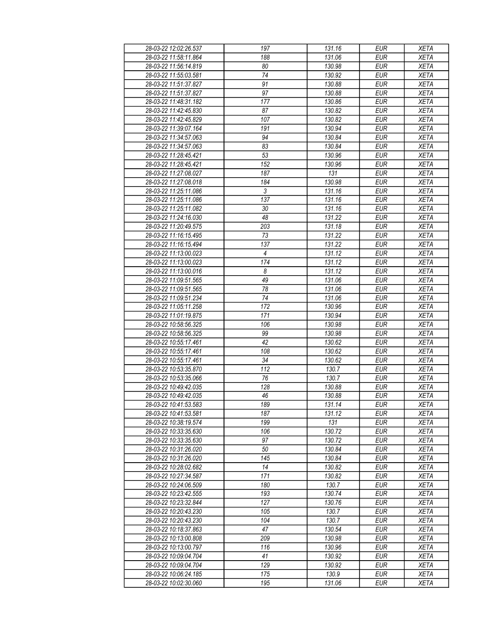| 28-03-22 12:02:26.537                          | 197       | 131.16           | <b>EUR</b>               | <b>XETA</b>                |
|------------------------------------------------|-----------|------------------|--------------------------|----------------------------|
| 28-03-22 11:58:11.864                          | 188       | 131.06           | <b>EUR</b>               | <b>XETA</b>                |
| 28-03-22 11:56:14.819                          | 80        | 130.98           | <b>EUR</b>               | <b>XETA</b>                |
| 28-03-22 11:55:03.581                          | 74        | 130.92           | <b>EUR</b>               | <b>XETA</b>                |
| 28-03-22 11:51:37.827                          | 91        | 130.88           | <b>EUR</b>               | <b>XETA</b>                |
| 28-03-22 11:51:37.827                          | 97        | 130.88           | <b>EUR</b>               | <b>XETA</b>                |
| 28-03-22 11:48:31.182                          | 177       | 130.86           | <b>EUR</b>               | <b>XETA</b>                |
| 28-03-22 11:42:45.830                          | 87        | 130.82           | EUR                      | <b>XETA</b>                |
| 28-03-22 11:42:45.829                          | 107       | 130.82           | <b>EUR</b>               | <b>XETA</b>                |
| 28-03-22 11:39:07.164                          | 191       | 130.94           | <b>EUR</b>               | <b>XETA</b>                |
| 28-03-22 11:34:57.063                          | 94        | 130.84           | <b>EUR</b>               | <b>XETA</b>                |
| 28-03-22 11:34:57.063                          | 83        | 130.84           | <b>EUR</b>               | <b>XETA</b>                |
| 28-03-22 11:28:45.421                          | 53        | 130.96           | <b>EUR</b>               | <b>XETA</b>                |
| 28-03-22 11:28:45.421                          | 152       | 130.96           | <b>EUR</b>               | <b>XETA</b>                |
| 28-03-22 11:27:08.027                          | 187       | 131              | <b>EUR</b>               | <b>XETA</b>                |
| 28-03-22 11:27:08.018                          | 184       | 130.98           | <b>EUR</b>               | <b>XETA</b>                |
| 28-03-22 11:25:11.086                          | 3         | 131.16           | <b>EUR</b>               | <b>XETA</b>                |
| 28-03-22 11:25:11.086                          | 137       | 131.16           | <b>EUR</b>               | <b>XETA</b>                |
| 28-03-22 11:25:11.082                          | 30        | 131.16           | <b>EUR</b>               | <b>XETA</b>                |
| 28-03-22 11:24:16.030                          | 48        | 131.22           | <b>EUR</b>               | <b>XETA</b>                |
| 28-03-22 11:20:49.575                          | 203       | 131.18           | <b>EUR</b>               | <b>XETA</b>                |
| 28-03-22 11:16:15.495                          | 73        | 131.22           | <b>EUR</b>               | <b>XETA</b>                |
| 28-03-22 11:16:15.494                          | 137       | 131.22           | <b>EUR</b>               | <b>XETA</b>                |
| 28-03-22 11:13:00.023                          | 4         | 131.12           | <b>EUR</b>               | <b>XETA</b>                |
| 28-03-22 11:13:00.023                          | 174       | 131.12           | <b>EUR</b>               | <b>XETA</b>                |
| 28-03-22 11:13:00.016                          | 8         | 131.12           | <b>EUR</b>               | <b>XETA</b>                |
| 28-03-22 11:09:51.565                          | 49        | 131.06           | <b>EUR</b>               | <b>XETA</b>                |
| 28-03-22 11:09:51.565                          | 78        | 131.06           | <b>EUR</b>               | <b>XETA</b>                |
|                                                |           |                  | <b>EUR</b>               |                            |
| 28-03-22 11:09:51.234                          | 74<br>172 | 131.06           |                          | <b>XETA</b>                |
| 28-03-22 11:05:11.258                          |           | 130.96           | <b>EUR</b>               | <b>XETA</b>                |
| 28-03-22 11:01:19.875                          | 171       | 130.94           | <b>EUR</b>               | <b>XETA</b>                |
| 28-03-22 10:58:56.325<br>28-03-22 10:58:56.325 | 106<br>99 | 130.98<br>130.98 | <b>EUR</b><br><b>EUR</b> | <b>XETA</b><br><b>XETA</b> |
| 28-03-22 10:55:17.461                          | 42        | 130.62           | <b>EUR</b>               | <b>XETA</b>                |
| 28-03-22 10:55:17.461                          | 108       | 130.62           | <b>EUR</b>               | <b>XETA</b>                |
|                                                |           |                  |                          |                            |
| 28-03-22 10:55:17.461                          | 34        | 130.62<br>130.7  | <b>EUR</b>               | <b>XETA</b>                |
| 28-03-22 10:53:35.870                          | 112       |                  | <b>EUR</b>               | <b>XETA</b>                |
| 28-03-22 10:53:35.066<br>28-03-22 10:49:42.035 | 76<br>128 | 130.7            | <b>EUR</b><br><b>EUR</b> | <b>XETA</b><br><b>XETA</b> |
|                                                | 46        | 130.88<br>130.88 |                          |                            |
| 28-03-22 10:49:42.035                          |           |                  | <b>EUR</b>               | <b>XETA</b>                |
| 28-03-22 10:41:53.583                          | 189       | 131.14           | EUR                      | <b>XETA</b>                |
| 28-03-22 10:41:53.581                          | 187       | 131.12           | <b>EUR</b>               | <b>XETA</b>                |
| 28-03-22 10:38:19.574                          | 199       | 131              | <b>EUR</b>               | <b>XETA</b>                |
| 28-03-22 10:33:35.630                          | 106       | 130.72           | <b>EUR</b>               | <b>XETA</b>                |
| 28-03-22 10:33:35.630                          | 97        | 130.72           | <b>EUR</b>               | <b>XETA</b>                |
| 28-03-22 10:31:26.020                          | 50        | 130.84           | <b>EUR</b>               | <b>XETA</b>                |
| 28-03-22 10:31:26.020                          | 145       | 130.84           | <b>EUR</b>               | <b>XETA</b>                |
| 28-03-22 10:28:02.682                          | 14        | 130.82           | <b>EUR</b>               | <b>XETA</b>                |
| 28-03-22 10:27:34.587                          | 171       | 130.82           | <b>EUR</b>               | <b>XETA</b>                |
| 28-03-22 10:24:06.509                          | 180       | 130.7            | <b>EUR</b>               | <b>XETA</b>                |
| 28-03-22 10:23:42.555                          | 193       | 130.74           | <b>EUR</b>               | <b>XETA</b>                |
| 28-03-22 10:23:32.844                          | 127       | 130.76           | <b>EUR</b>               | <b>XETA</b>                |
| 28-03-22 10:20:43.230                          | 105       | 130.7            | <b>EUR</b>               | <b>XETA</b>                |
| 28-03-22 10:20:43.230                          | 104       | 130.7            | <b>EUR</b>               | <b>XETA</b>                |
| 28-03-22 10:18:37.863                          | 47        | 130.54           | <b>EUR</b>               | <b>XETA</b>                |
| 28-03-22 10:13:00.808                          | 209       | 130.98           | <b>EUR</b>               | <b>XETA</b>                |
| 28-03-22 10:13:00.797                          | 116       | 130.96           | <b>EUR</b>               | <b>XETA</b>                |
| 28-03-22 10:09:04 704                          | 41        | 130.92           | <b>EUR</b>               | <b>XETA</b>                |
| 28-03-22 10:09:04.704                          | 129       | 130.92           | <b>EUR</b>               | <b>XETA</b>                |
| 28-03-22 10:06:24.185                          | 175       | 130.9            | <b>EUR</b>               | <b>XETA</b>                |
| 28-03-22 10:02:30.060                          | 195       | 131.06           | <b>EUR</b>               | <b>XETA</b>                |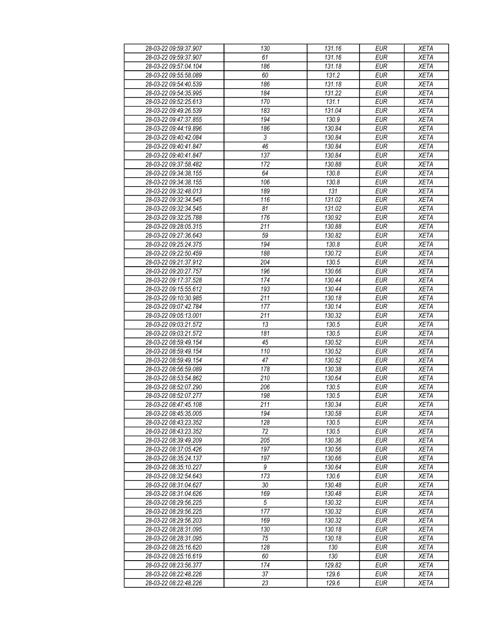| 28-03-22 09:59:37.907 | 130            | 131.16 | <b>EUR</b> | <b>XETA</b> |
|-----------------------|----------------|--------|------------|-------------|
| 28-03-22 09:59:37.907 | 61             | 131.16 | <b>EUR</b> | <b>XETA</b> |
| 28-03-22 09:57:04.104 | 186            | 131.18 | <b>EUR</b> | <b>XETA</b> |
| 28-03-22 09:55:58.089 | 60             | 131.2  | <b>EUR</b> | <b>XETA</b> |
| 28-03-22 09:54:40.539 | 186            | 131.18 | <b>EUR</b> | <b>XETA</b> |
| 28-03-22 09:54:35.995 | 184            | 131.22 | <b>EUR</b> | <b>XETA</b> |
| 28-03-22 09:52:25.613 | 170            | 131.1  | <b>EUR</b> | <b>XETA</b> |
|                       | 183            | 131.04 | <b>EUR</b> | <b>XETA</b> |
| 28-03-22 09:49:26.539 |                |        |            |             |
| 28-03-22 09:47:37.855 | 194            | 130.9  | <b>EUR</b> | <b>XETA</b> |
| 28-03-22 09:44:19.896 | 186            | 130.84 | <b>EUR</b> | <b>XETA</b> |
| 28-03-22 09:40:42.084 | $\mathfrak{Z}$ | 130.84 | <b>EUR</b> | <b>XETA</b> |
| 28-03-22 09:40:41.847 | 46             | 130.84 | <b>EUR</b> | <b>XETA</b> |
| 28-03-22 09:40:41.847 | 137            | 130.84 | <b>EUR</b> | <b>XETA</b> |
| 28-03-22 09:37:58.482 | 172            | 130.88 | <b>EUR</b> | <b>XETA</b> |
| 28-03-22 09:34:38.155 | 64             | 130.8  | <b>EUR</b> | <b>XETA</b> |
| 28-03-22 09:34:38.155 | 106            | 130.8  | <b>EUR</b> | <b>XETA</b> |
| 28-03-22 09:32:48.013 | 189            | 131    | <b>EUR</b> | <b>XETA</b> |
| 28-03-22 09:32:34.545 | 116            | 131.02 | <b>EUR</b> | <b>XETA</b> |
| 28-03-22 09:32:34.545 | 81             | 131.02 | <b>EUR</b> | <b>XETA</b> |
| 28-03-22 09:32:25.788 | 176            | 130.92 | <b>EUR</b> | <b>XETA</b> |
| 28-03-22 09:28:05.315 | 211            | 130.88 | <b>EUR</b> | <b>XETA</b> |
| 28-03-22 09:27:36.643 | 59             | 130.82 | <b>EUR</b> | <b>XETA</b> |
| 28-03-22 09:25:24.375 | 194            | 130.8  | <b>EUR</b> | <b>XETA</b> |
| 28-03-22 09:22:50.459 | 188            | 130.72 | <b>EUR</b> | <b>XETA</b> |
| 28-03-22 09:21:37.912 | 204            | 130.5  | <b>EUR</b> | <b>XETA</b> |
| 28-03-22 09:20:27.757 | 196            | 130.66 | <b>EUR</b> | <b>XETA</b> |
| 28-03-22 09:17:37.528 | 174            | 130.44 | <b>EUR</b> | <b>XETA</b> |
| 28-03-22 09:15:55.612 | 193            | 130.44 | <b>EUR</b> | <b>XETA</b> |
| 28-03-22 09:10:30.985 | 211            | 130.18 | <b>EUR</b> | <b>XETA</b> |
| 28-03-22 09:07:42.784 | 177            | 130.14 | <b>EUR</b> | <b>XETA</b> |
| 28-03-22 09:05:13.001 | 211            | 130.32 | <b>EUR</b> | <b>XETA</b> |
| 28-03-22 09:03:21.572 | 13             | 130.5  | <b>EUR</b> | <b>XETA</b> |
|                       | 181            | 130.5  | <b>EUR</b> |             |
| 28-03-22 09:03:21.572 | 45             |        |            | <b>XETA</b> |
| 28-03-22 08:59:49.154 |                | 130.52 | <b>EUR</b> | <b>XETA</b> |
| 28-03-22 08:59:49.154 | 110            | 130.52 | <b>EUR</b> | <b>XETA</b> |
| 28-03-22 08:59:49.154 | 47             | 130.52 | <b>EUR</b> | <b>XETA</b> |
| 28-03-22 08:56:59.089 | 178            | 130.38 | <b>EUR</b> | <b>XETA</b> |
| 28-03-22 08:53:54.862 | 210            | 130.64 | <b>EUR</b> | <b>XETA</b> |
| 28-03-22 08:52:07.290 | 206            | 130.5  | <b>EUR</b> | <b>XETA</b> |
| 28-03-22 08:52:07.277 | 198            | 130.5  | <b>EUR</b> | <b>XETA</b> |
| 28-03-22 08:47:45.108 | 211            | 130.34 | <b>EUR</b> | <b>XETA</b> |
| 28-03-22 08:45:35.005 | 194            | 130.58 | <b>EUR</b> | <b>XETA</b> |
| 28-03-22 08:43:23.352 | 128            | 130.5  | <b>EUR</b> | <b>XETA</b> |
| 28-03-22 08:43:23.352 | 72             | 130.5  | <b>EUR</b> | <b>XETA</b> |
| 28-03-22 08:39:49.209 | 205            | 130.36 | <b>EUR</b> | <b>XETA</b> |
| 28-03-22 08:37:05.426 | 197            | 130.56 | <b>EUR</b> | <b>XETA</b> |
| 28-03-22 08:35:24.137 | 197            | 130.66 | <b>EUR</b> | <b>XETA</b> |
| 28-03-22 08:35:10.227 | 9              | 130.64 | <b>EUR</b> | <b>XETA</b> |
| 28-03-22 08:32:54.643 | 173            | 130.6  | <b>EUR</b> | <b>XETA</b> |
| 28-03-22 08:31:04.627 | 30             | 130.48 | <b>EUR</b> | <b>XETA</b> |
| 28-03-22 08:31:04.626 | 169            | 130.48 | <b>EUR</b> | <b>XETA</b> |
| 28-03-22 08:29:56.225 | 5              | 130.32 | <b>EUR</b> | <b>XETA</b> |
| 28-03-22 08:29:56.225 | 177            | 130.32 | <b>EUR</b> | <b>XETA</b> |
| 28-03-22 08:29:56.203 | 169            | 130.32 | <b>EUR</b> | <b>XETA</b> |
| 28-03-22 08:28:31.095 | 130            | 130.18 | <b>EUR</b> | <b>XETA</b> |
| 28-03-22 08:28:31.095 | 75             | 130.18 | <b>EUR</b> | <b>XETA</b> |
| 28-03-22 08:25:16.620 | 128            | 130    | <b>EUR</b> | <b>XETA</b> |
| 28-03-22 08:25:16.619 | 60             | 130    | <b>EUR</b> | <b>XETA</b> |
| 28-03-22 08:23:56.377 | 174            | 129.82 | <b>EUR</b> | <b>XETA</b> |
| 28-03-22 08:22:48.226 | 37             | 129.6  | <b>EUR</b> | <b>XETA</b> |
| 28-03-22 08:22:48.226 | 23             | 129.6  | <b>EUR</b> | <b>XETA</b> |
|                       |                |        |            |             |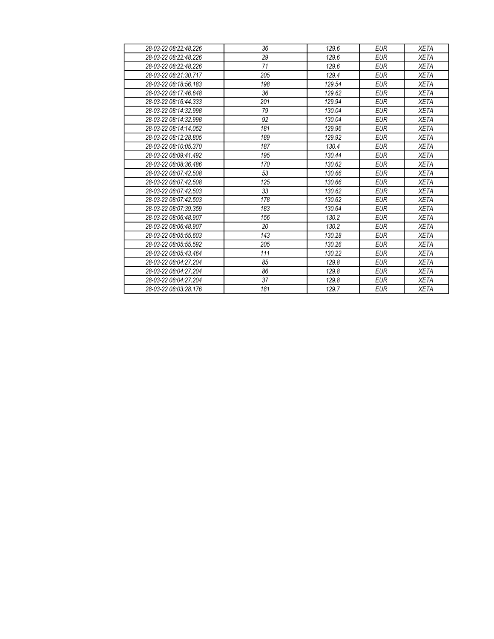| 28-03-22 08:22:48.226 | 36  | 129.6  | <b>EUR</b> | <b>XETA</b> |
|-----------------------|-----|--------|------------|-------------|
| 28-03-22 08:22:48.226 | 29  | 129.6  | <b>EUR</b> | <b>XETA</b> |
| 28-03-22 08:22:48.226 | 71  | 129.6  | <b>EUR</b> | <b>XETA</b> |
| 28-03-22 08:21:30.717 | 205 | 129.4  | <b>EUR</b> | <b>XETA</b> |
| 28-03-22 08:18:56.183 | 198 | 129.54 | <b>EUR</b> | <b>XETA</b> |
| 28-03-22 08:17:46.648 | 36  | 129.62 | <b>EUR</b> | <b>XETA</b> |
| 28-03-22 08:16:44.333 | 201 | 129.94 | <b>EUR</b> | <b>XETA</b> |
| 28-03-22 08:14:32.998 | 79  | 130.04 | <b>EUR</b> | <b>XETA</b> |
| 28-03-22 08:14:32.998 | 92  | 130.04 | <b>EUR</b> | <b>XETA</b> |
| 28-03-22 08:14:14.052 | 181 | 129.96 | <b>EUR</b> | <b>XETA</b> |
| 28-03-22 08:12:28.805 | 189 | 129.92 | <b>EUR</b> | <b>XETA</b> |
| 28-03-22 08:10:05.370 | 187 | 130.4  | <b>EUR</b> | <b>XETA</b> |
| 28-03-22 08:09:41.492 | 195 | 130.44 | <b>EUR</b> | <b>XETA</b> |
| 28-03-22 08:08:36.486 | 170 | 130.62 | <b>EUR</b> | <b>XETA</b> |
| 28-03-22 08:07:42.508 | 53  | 130.66 | <b>EUR</b> | <b>XETA</b> |
| 28-03-22 08:07:42.508 | 125 | 130.66 | <b>EUR</b> | <b>XETA</b> |
| 28-03-22 08:07:42.503 | 33  | 130.62 | <b>EUR</b> | <b>XETA</b> |
| 28-03-22 08:07:42.503 | 178 | 130.62 | <b>EUR</b> | <b>XETA</b> |
| 28-03-22 08:07:39.359 | 183 | 130.64 | <b>EUR</b> | <b>XETA</b> |
| 28-03-22 08:06:48.907 | 156 | 130.2  | <b>EUR</b> | <b>XETA</b> |
| 28-03-22 08:06:48.907 | 20  | 130.2  | <b>EUR</b> | <b>XETA</b> |
| 28-03-22 08:05:55.603 | 143 | 130.28 | <b>EUR</b> | <b>XETA</b> |
| 28-03-22 08:05:55 592 | 205 | 130.26 | <b>EUR</b> | <b>XETA</b> |
| 28-03-22 08:05:43.464 | 111 | 130.22 | <b>EUR</b> | <b>XETA</b> |
| 28-03-22 08:04:27.204 | 85  | 129.8  | <b>EUR</b> | <b>XETA</b> |
| 28-03-22 08:04:27.204 | 86  | 129.8  | <b>EUR</b> | <b>XETA</b> |
| 28-03-22 08:04:27.204 | 37  | 129.8  | <b>EUR</b> | <b>XETA</b> |
| 28-03-22 08:03:28 176 | 181 | 129.7  | <b>EUR</b> | <b>XETA</b> |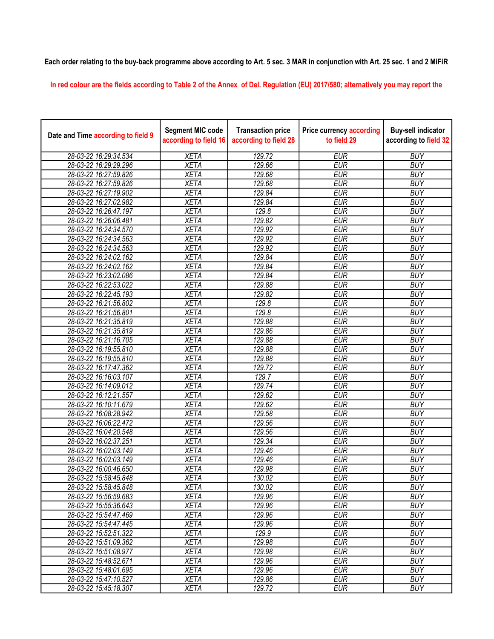## Each order relating to the buy-back programme above according to Art. 5 sec. 3 MAR in conjunction with Art. 25 sec. 1 and 2 MiFiR

In red colour are the fields according to Table 2 of the Annex of Del. Regulation (EU) 2017/580; alternatively you may report the

| Date and Time according to field 9 | <b>Segment MIC code</b><br>according to field 16 | <b>Transaction price</b><br>according to field 28 | <b>Price currency according</b><br>to field 29 | <b>Buy-sell indicator</b><br>according to field 32 |
|------------------------------------|--------------------------------------------------|---------------------------------------------------|------------------------------------------------|----------------------------------------------------|
| 28-03-22 16:29:34.534              | <b>XETA</b>                                      | 129.72                                            | <b>EUR</b>                                     | <b>BUY</b>                                         |
| 28-03-22 16:29:29.296              | <b>XETA</b>                                      | 129.66                                            | <b>EUR</b>                                     | <b>BUY</b>                                         |
| 28-03-22 16:27:59.826              | <b>XETA</b>                                      | 129.68                                            | <b>EUR</b>                                     | <b>BUY</b>                                         |
| 28-03-22 16:27:59.826              | <b>XETA</b>                                      | 129.68                                            | <b>EUR</b>                                     | <b>BUY</b>                                         |
| 28-03-22 16:27:19.902              | <b>XETA</b>                                      | 129.84                                            | <b>EUR</b>                                     | <b>BUY</b>                                         |
| 28-03-22 16:27:02.982              | <b>XETA</b>                                      | 129.84                                            | <b>EUR</b>                                     | <b>BUY</b>                                         |
| 28-03-22 16:26:47.197              | <b>XETA</b>                                      | 129.8                                             | <b>EUR</b>                                     | <b>BUY</b>                                         |
| 28-03-22 16:26:06.481              | <b>XETA</b>                                      | 129.82                                            | <b>EUR</b>                                     | <b>BUY</b>                                         |
| 28-03-22 16:24:34.570              | <b>XETA</b>                                      | 129.92                                            | <b>EUR</b>                                     | <b>BUY</b>                                         |
| 28-03-22 16:24:34.563              | <b>XETA</b>                                      | 129.92                                            | <b>EUR</b>                                     | <b>BUY</b>                                         |
| 28-03-22 16:24:34.563              | <b>XETA</b>                                      | 129.92                                            | <b>EUR</b>                                     | <b>BUY</b>                                         |
| 28-03-22 16:24:02.162              | <b>XETA</b>                                      | 129.84                                            | <b>EUR</b>                                     | <b>BUY</b>                                         |
| 28-03-22 16:24:02.162              | <b>XETA</b>                                      | 129.84                                            | <b>EUR</b>                                     | <b>BUY</b>                                         |
| 28-03-22 16:23:02.086              | <b>XETA</b>                                      | 129.84                                            | <b>EUR</b>                                     | <b>BUY</b>                                         |
| 28-03-22 16:22:53.022              | <b>XETA</b>                                      | 129.88                                            | <b>EUR</b>                                     | <b>BUY</b>                                         |
| 28-03-22 16:22:45.193              | <b>XETA</b>                                      | 129.82                                            | <b>EUR</b>                                     | <b>BUY</b>                                         |
| 28-03-22 16:21:56.802              | <b>XETA</b>                                      | 129.8                                             | <b>EUR</b>                                     | <b>BUY</b>                                         |
| 28-03-22 16:21:56.801              | <b>XETA</b>                                      | 129.8                                             | <b>EUR</b>                                     | <b>BUY</b>                                         |
| 28-03-22 16:21:35.819              | <b>XETA</b>                                      | 129.88                                            | <b>EUR</b>                                     | <b>BUY</b>                                         |
| 28-03-22 16:21:35.819              | <b>XETA</b>                                      | 129.86                                            | <b>EUR</b>                                     | <b>BUY</b>                                         |
| 28-03-22 16:21:16.705              | <b>XETA</b>                                      | 129.88                                            | <b>EUR</b>                                     | <b>BUY</b>                                         |
| 28-03-22 16:19:55.810              | <b>XETA</b>                                      | 129.88                                            | <b>EUR</b>                                     | <b>BUY</b>                                         |
| 28-03-22 16:19:55.810              | <b>XETA</b>                                      | 129.88                                            | <b>EUR</b>                                     | <b>BUY</b>                                         |
| 28-03-22 16:17:47.362              | <b>XETA</b>                                      | 129.72                                            | <b>EUR</b>                                     | <b>BUY</b>                                         |
| 28-03-22 16:16:03.107              | <b>XETA</b>                                      | 129.7                                             | <b>EUR</b>                                     | <b>BUY</b>                                         |
| 28-03-22 16:14:09.012              | <b>XETA</b>                                      | 129.74                                            | <b>EUR</b>                                     | <b>BUY</b>                                         |
| 28-03-22 16:12:21.557              | <b>XETA</b>                                      | 129.62                                            | <b>EUR</b>                                     | <b>BUY</b>                                         |
| 28-03-22 16:10:11.679              | <b>XETA</b>                                      | 129.62                                            | <b>EUR</b>                                     | <b>BUY</b>                                         |
| 28-03-22 16:08:28.942              | <b>XETA</b>                                      | 129.58                                            | <b>EUR</b>                                     | <b>BUY</b>                                         |
| 28-03-22 16:06:22.472              | <b>XETA</b>                                      | 129.56                                            | <b>EUR</b>                                     | <b>BUY</b>                                         |
| 28-03-22 16:04:20.548              | <b>XETA</b>                                      | 129.56                                            | <b>EUR</b>                                     | <b>BUY</b>                                         |
| 28-03-22 16:02:37.251              | <b>XETA</b>                                      | 129.34                                            | <b>EUR</b>                                     | <b>BUY</b>                                         |
| 28-03-22 16:02:03.149              | <b>XETA</b>                                      | 129.46                                            | <b>EUR</b>                                     | <b>BUY</b>                                         |
| 28-03-22 16:02:03.149              | <b>XETA</b>                                      | 129.46                                            | <b>EUR</b>                                     | <b>BUY</b>                                         |
| 28-03-22 16:00:46.650              | <b>XETA</b>                                      | 129.98                                            | <b>EUR</b>                                     | <b>BUY</b>                                         |
| 28-03-22 15:58:45.848              | XETA                                             | 130.02                                            | <b>EUR</b>                                     | <b>BUY</b>                                         |
| 28-03-22 15:58:45.848              | <b>XETA</b>                                      | 130.02                                            | <b>EUR</b>                                     | <b>BUY</b>                                         |
| 28-03-22 15:56:59.683              | <b>XETA</b>                                      | 129.96                                            | <b>EUR</b>                                     | <b>BUY</b>                                         |
| 28-03-22 15:55:36.643              | <b>XETA</b>                                      | 129.96                                            | <b>EUR</b>                                     | <b>BUY</b>                                         |
| 28-03-22 15:54:47.469              | <b>XETA</b>                                      | 129.96                                            | <b>EUR</b>                                     | <b>BUY</b>                                         |
| 28-03-22 15:54:47.445              | <b>XETA</b>                                      | 129.96                                            | <b>EUR</b>                                     | <b>BUY</b>                                         |
| 28-03-22 15:52:51.322              | <b>XETA</b>                                      | 129.9                                             | <b>EUR</b>                                     | <b>BUY</b>                                         |
| 28-03-22 15:51:09.362              | <b>XETA</b>                                      | 129.98                                            | <b>EUR</b>                                     | <b>BUY</b>                                         |
| 28-03-22 15:51:08.977              | <b>XETA</b>                                      | 129.98                                            | <b>EUR</b>                                     | <b>BUY</b>                                         |
| 28-03-22 15:48:52.671              | <b>XETA</b>                                      | 129.96                                            | <b>EUR</b>                                     | <b>BUY</b>                                         |
| 28-03-22 15:48:01.695              | <b>XETA</b>                                      | 129.96                                            | <b>EUR</b>                                     | <b>BUY</b>                                         |
| 28-03-22 15:47:10.527              | <b>XETA</b>                                      | 129.86                                            | <b>EUR</b>                                     | <b>BUY</b>                                         |
| 28-03-22 15:45:18.307              | <b>XETA</b>                                      | 129.72                                            | <b>EUR</b>                                     | <b>BUY</b>                                         |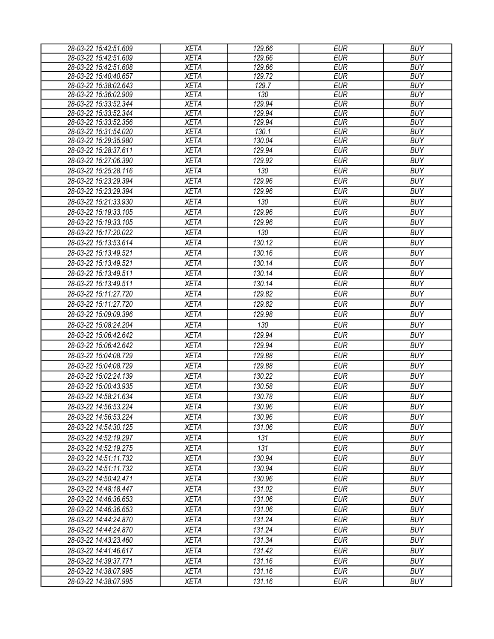| 28-03-22 15:42:51.609                          | <b>XETA</b>                | 129.66 | <b>EUR</b> | <b>BUY</b> |
|------------------------------------------------|----------------------------|--------|------------|------------|
| 28-03-22 15:42:51.609                          | <b>XETA</b>                | 129.66 | <b>EUR</b> | <b>BUY</b> |
| 28-03-22 15:42:51.608                          | <b>XETA</b>                | 129.66 | <b>EUR</b> | <b>BUY</b> |
| 28-03-22 15:40:40.657                          | <b>XETA</b>                | 129.72 | <b>EUR</b> | <b>BUY</b> |
| 28-03-22 15:38:02.643                          | <b>XETA</b>                | 129.7  | <b>EUR</b> | <b>BUY</b> |
| 28-03-22 15:36:02.909                          | <b>XETA</b>                | 130    | <b>EUR</b> | <b>BUY</b> |
| 28-03-22 15:33:52.344                          | <b>XETA</b>                | 129.94 | <b>EUR</b> | <b>BUY</b> |
| 28-03-22 15:33:52.344                          | <b>XETA</b>                | 129.94 | <b>EUR</b> | <b>BUY</b> |
| 28-03-22 15:33:52.356                          | <b>XETA</b>                | 129.94 | <b>EUR</b> | <b>BUY</b> |
| 28-03-22 15:31:54.020                          | <b>XETA</b>                | 130.1  | <b>EUR</b> | <b>BUY</b> |
| 28-03-22 15:29:35.980                          | <b>XETA</b>                | 130.04 | <b>EUR</b> | <b>BUY</b> |
| 28-03-22 15:28:37.611                          | <b>XETA</b>                | 129.94 | <b>EUR</b> | <b>BUY</b> |
| 28-03-22 15:27:06.390                          | <b>XETA</b>                | 129.92 | <b>EUR</b> | <b>BUY</b> |
| 28-03-22 15:25:28.116                          | <b>XETA</b>                | 130    | <b>EUR</b> | <b>BUY</b> |
| 28-03-22 15:23:29.394                          | <b>XETA</b>                | 129.96 | <b>EUR</b> | <b>BUY</b> |
| 28-03-22 15:23:29.394                          | <b>XETA</b>                | 129.96 | <b>EUR</b> | <b>BUY</b> |
| 28-03-22 15:21:33.930                          | <b>XETA</b>                | 130    | <b>EUR</b> | <b>BUY</b> |
| 28-03-22 15:19:33.105                          | <b>XETA</b>                | 129.96 | <b>EUR</b> | <b>BUY</b> |
| 28-03-22 15:19:33.105                          | <b>XETA</b>                | 129.96 | <b>EUR</b> | <b>BUY</b> |
| 28-03-22 15:17:20.022                          | <b>XETA</b>                | 130    | <b>EUR</b> | <b>BUY</b> |
| 28-03-22 15:13:53.614                          | <b>XETA</b>                | 130.12 | <b>EUR</b> | <b>BUY</b> |
| 28-03-22 15:13:49.521                          | <b>XETA</b>                | 130.16 | <b>EUR</b> | <b>BUY</b> |
| 28-03-22 15:13:49.521                          | <b>XETA</b>                | 130.14 | <b>EUR</b> | <b>BUY</b> |
| 28-03-22 15:13:49.511                          | <b>XETA</b>                | 130.14 | <b>EUR</b> | <b>BUY</b> |
| 28-03-22 15:13:49.511                          | <b>XETA</b>                | 130.14 | <b>EUR</b> | <b>BUY</b> |
| 28-03-22 15:11:27.720                          | <b>XETA</b>                | 129.82 | <b>EUR</b> | <b>BUY</b> |
| 28-03-22 15:11:27.720                          | <b>XETA</b>                | 129.82 | <b>EUR</b> | <b>BUY</b> |
| 28-03-22 15:09:09.396                          | <b>XETA</b>                | 129.98 | <b>EUR</b> | <b>BUY</b> |
|                                                |                            | 130    | <b>EUR</b> | <b>BUY</b> |
| 28-03-22 15:08:24.204<br>28-03-22 15:06:42.642 | <b>XETA</b><br><b>XETA</b> | 129.94 | <b>EUR</b> | <b>BUY</b> |
|                                                |                            |        |            |            |
| 28-03-22 15:06:42.642                          | <b>XETA</b>                | 129.94 | <b>EUR</b> | <b>BUY</b> |
| 28-03-22 15:04:08.729                          | <b>XETA</b>                | 129.88 | <b>EUR</b> | <b>BUY</b> |
| 28-03-22 15:04:08.729                          | <b>XETA</b>                | 129.88 | <b>EUR</b> | <b>BUY</b> |
| 28-03-22 15:02:24.139                          | <b>XETA</b>                | 130.22 | <b>EUR</b> | <b>BUY</b> |
| 28-03-22 15:00:43.935                          | <b>XETA</b>                | 130.58 | <b>EUR</b> | <b>BUY</b> |
| 28-03-22 14:58:21.634                          | <b>XETA</b>                | 130.78 | <b>EUR</b> | <b>BUY</b> |
| 28-03-22 14:56:53.224                          | <b>XETA</b>                | 130.96 | EUR        | <b>BUY</b> |
| 28-03-22 14:56:53.224                          | <b>XETA</b>                | 130.96 | <b>EUR</b> | <b>BUY</b> |
| 28-03-22 14:54:30.125                          | <b>XETA</b>                | 131.06 | <b>EUR</b> | <b>BUY</b> |
| 28-03-22 14:52:19.297                          | <b>XETA</b>                | 131    | <b>EUR</b> | <b>BUY</b> |
| 28-03-22 14:52:19.275                          | <b>XETA</b>                | 131    | <b>EUR</b> | <b>BUY</b> |
| 28-03-22 14:51:11.732                          | <b>XETA</b>                | 130.94 | <b>EUR</b> | <b>BUY</b> |
| 28-03-22 14:51:11.732                          | <b>XETA</b>                | 130.94 | <b>EUR</b> | <b>BUY</b> |
| 28-03-22 14:50:42.471                          | <b>XETA</b>                | 130.96 | <b>EUR</b> | <b>BUY</b> |
| 28-03-22 14:48:18.447                          | <b>XETA</b>                | 131.02 | <b>EUR</b> | <b>BUY</b> |
| 28-03-22 14:46:36.653                          | <b>XETA</b>                | 131.06 | <b>EUR</b> | <b>BUY</b> |
| 28-03-22 14:46:36.653                          | <b>XETA</b>                | 131.06 | EUR        | <b>BUY</b> |
| 28-03-22 14:44:24.870                          | <b>XETA</b>                | 131.24 | <b>EUR</b> | <b>BUY</b> |
| 28-03-22 14:44:24.870                          | <b>XETA</b>                | 131.24 | <b>EUR</b> | <b>BUY</b> |
| 28-03-22 14:43:23.460                          | <b>XETA</b>                | 131.34 | <b>EUR</b> | <b>BUY</b> |
| 28-03-22 14:41:46.617                          | <b>XETA</b>                | 131.42 | <b>EUR</b> | <b>BUY</b> |
| 28-03-22 14:39:37.771                          | <b>XETA</b>                | 131.16 | <b>EUR</b> | <b>BUY</b> |
| 28-03-22 14:38:07.995                          | <b>XETA</b>                | 131.16 | <b>EUR</b> | <b>BUY</b> |
| 28-03-22 14:38:07.995                          | XETA                       | 131.16 | <b>EUR</b> | <b>BUY</b> |
|                                                |                            |        |            |            |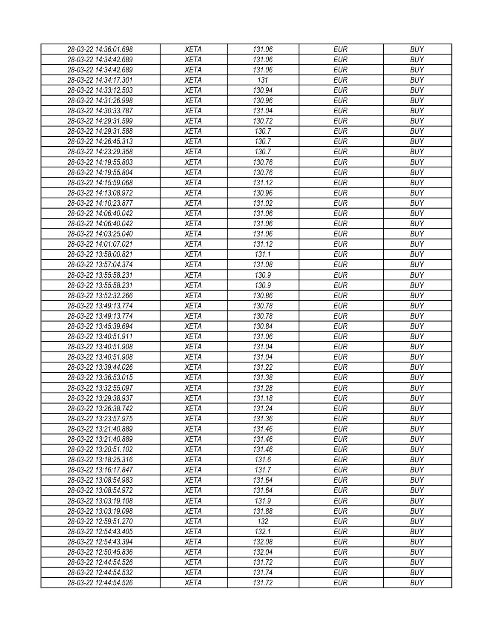| 28-03-22 14:36:01.698                          | <b>XETA</b>                | 131.06 | <b>EUR</b> | <b>BUY</b> |
|------------------------------------------------|----------------------------|--------|------------|------------|
| 28-03-22 14:34:42.689                          | <b>XETA</b>                | 131.06 | <b>EUR</b> | <b>BUY</b> |
| 28-03-22 14:34:42.689                          | <b>XETA</b>                | 131.06 | <b>EUR</b> | <b>BUY</b> |
| 28-03-22 14:34:17.301                          | <b>XETA</b>                | 131    | <b>EUR</b> | <b>BUY</b> |
| 28-03-22 14:33:12.503                          | <b>XETA</b>                | 130.94 | <b>EUR</b> | <b>BUY</b> |
| 28-03-22 14:31:26.998                          | <b>XETA</b>                | 130.96 | <b>EUR</b> | <b>BUY</b> |
| 28-03-22 14:30:33.787                          | <b>XETA</b>                | 131.04 | <b>EUR</b> | <b>BUY</b> |
| 28-03-22 14:29:31.599                          | <b>XETA</b>                | 130.72 | <b>EUR</b> | <b>BUY</b> |
| 28-03-22 14:29:31.588                          | <b>XETA</b>                | 130.7  | <b>EUR</b> | <b>BUY</b> |
| 28-03-22 14:26:45.313                          | <b>XETA</b>                | 130.7  | <b>EUR</b> | <b>BUY</b> |
| 28-03-22 14:23:29.358                          | <b>XETA</b>                | 130.7  | <b>EUR</b> | <b>BUY</b> |
| 28-03-22 14:19:55.803                          | <b>XETA</b>                | 130.76 | <b>EUR</b> | <b>BUY</b> |
| 28-03-22 14:19:55.804                          | <b>XETA</b>                | 130.76 | <b>EUR</b> | <b>BUY</b> |
| 28-03-22 14:15:59.068                          | <b>XETA</b>                | 131.12 | <b>EUR</b> | <b>BUY</b> |
| 28-03-22 14:13:08.972                          | <b>XETA</b>                | 130.96 | <b>EUR</b> | <b>BUY</b> |
| 28-03-22 14:10:23.877                          | <b>XETA</b>                | 131.02 | <b>EUR</b> | <b>BUY</b> |
| 28-03-22 14:06:40.042                          | <b>XETA</b>                | 131.06 | <b>EUR</b> | <b>BUY</b> |
| 28-03-22 14:06:40.042                          | <b>XETA</b>                | 131.06 | <b>EUR</b> | <b>BUY</b> |
| 28-03-22 14:03:25.040                          | <b>XETA</b>                | 131.06 | <b>EUR</b> | <b>BUY</b> |
| 28-03-22 14:01:07.021                          | <b>XETA</b>                | 131.12 | <b>EUR</b> | <b>BUY</b> |
| 28-03-22 13:58:00.821                          | <b>XETA</b>                | 131.1  | <b>EUR</b> | <b>BUY</b> |
| 28-03-22 13:57:04.374                          | <b>XETA</b>                | 131.08 | <b>EUR</b> | <b>BUY</b> |
| 28-03-22 13:55:58.231                          | <b>XETA</b>                | 130.9  | <b>EUR</b> | <b>BUY</b> |
| 28-03-22 13:55:58.231                          | <b>XETA</b>                | 130.9  | <b>EUR</b> | <b>BUY</b> |
| 28-03-22 13:52:32.266                          | <b>XETA</b>                | 130.86 | <b>EUR</b> | <b>BUY</b> |
| 28-03-22 13:49:13.774                          | <b>XETA</b>                | 130.78 | <b>EUR</b> | <b>BUY</b> |
| 28-03-22 13:49:13.774                          | <b>XETA</b>                | 130.78 | <b>EUR</b> | <b>BUY</b> |
| 28-03-22 13:45:39.694                          | <b>XETA</b>                | 130.84 | <b>EUR</b> | <b>BUY</b> |
| 28-03-22 13:40:51.911                          | <b>XETA</b>                | 131.06 | <b>EUR</b> | <b>BUY</b> |
| 28-03-22 13:40:51.908                          | <b>XETA</b>                | 131.04 | <b>EUR</b> | <b>BUY</b> |
| 28-03-22 13:40:51.908                          | <b>XETA</b>                | 131.04 | <b>EUR</b> | <b>BUY</b> |
| 28-03-22 13:39:44.026                          | <b>XETA</b>                | 131.22 | <b>EUR</b> | <b>BUY</b> |
| 28-03-22 13:36:53.015                          | <b>XETA</b>                | 131.38 | <b>EUR</b> | <b>BUY</b> |
| 28-03-22 13:32:55.097                          | <b>XETA</b>                | 131.28 | <b>EUR</b> | <b>BUY</b> |
| 28-03-22 13:29:38.937                          | <b>XETA</b>                | 131.18 | <b>EUR</b> | <b>BUY</b> |
|                                                | <b>XETA</b>                | 131.24 | <b>EUR</b> | <b>BUY</b> |
| 28-03-22 13:26:38.742<br>28-03-22 13:23:57.975 |                            | 131.36 | <b>EUR</b> | <b>BUY</b> |
| 28-03-22 13:21:40.889                          | <b>XETA</b><br><b>XETA</b> | 131.46 | <b>EUR</b> | <b>BUY</b> |
|                                                |                            | 131.46 | <b>EUR</b> | <b>BUY</b> |
| 28-03-22 13:21:40.889                          | <b>XETA</b>                |        | <b>EUR</b> | <b>BUY</b> |
| 28-03-22 13:20:51.102                          | <b>XETA</b>                | 131.46 |            |            |
| 28-03-22 13:18:25.316                          | <b>XETA</b>                | 131.6  | <b>EUR</b> | <b>BUY</b> |
| 28-03-22 13:16:17.847                          | <b>XETA</b>                | 131.7  | <b>EUR</b> | <b>BUY</b> |
| 28-03-22 13:08:54.983                          | <b>XETA</b>                | 131.64 | <b>EUR</b> | <b>BUY</b> |
| 28-03-22 13:08:54.972                          | <b>XETA</b>                | 131.64 | <b>EUR</b> | <b>BUY</b> |
| 28-03-22 13:03:19.108                          | <b>XETA</b>                | 131.9  | <b>EUR</b> | <b>BUY</b> |
| 28-03-22 13:03:19.098                          | <b>XETA</b>                | 131.88 | <b>EUR</b> | <b>BUY</b> |
| 28-03-22 12:59:51.270                          | <b>XETA</b>                | 132    | <b>EUR</b> | <b>BUY</b> |
| 28-03-22 12:54:43.405                          | XETA                       | 132.1  | <b>EUR</b> | <b>BUY</b> |
| 28-03-22 12:54:43.394                          | <b>XETA</b>                | 132.08 | <b>EUR</b> | <b>BUY</b> |
| 28-03-22 12:50:45.836                          | <b>XETA</b>                | 132.04 | <b>EUR</b> | <b>BUY</b> |
| 28-03-22 12:44:54.526                          | <b>XETA</b>                | 131.72 | <b>EUR</b> | <b>BUY</b> |
| 28-03-22 12:44:54.532                          | XETA                       | 131.74 | <b>EUR</b> | <b>BUY</b> |
| 28-03-22 12:44:54.526                          | XETA                       | 131.72 | <b>EUR</b> | <b>BUY</b> |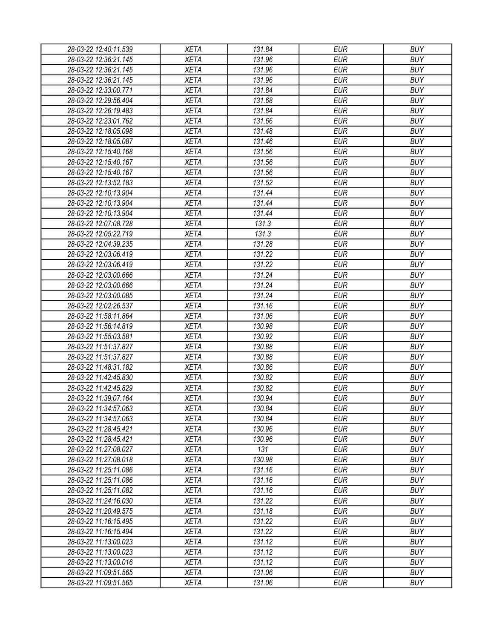| 28-03-22 12:40:11.539                          | <b>XETA</b> | 131.84 | <b>EUR</b> | <b>BUY</b> |
|------------------------------------------------|-------------|--------|------------|------------|
| 28-03-22 12:36:21.145                          | <b>XETA</b> | 131.96 | <b>EUR</b> | <b>BUY</b> |
| 28-03-22 12:36:21.145                          | <b>XETA</b> | 131.96 | <b>EUR</b> | <b>BUY</b> |
| 28-03-22 12:36:21.145                          | <b>XETA</b> | 131.96 | <b>EUR</b> | <b>BUY</b> |
| 28-03-22 12:33:00.771                          | <b>XETA</b> | 131.84 | <b>EUR</b> | <b>BUY</b> |
| 28-03-22 12:29:56.404                          | <b>XETA</b> | 131.68 | <b>EUR</b> | <b>BUY</b> |
| 28-03-22 12:26:19.483                          | <b>XETA</b> | 131.84 | <b>EUR</b> | <b>BUY</b> |
| 28-03-22 12:23:01.762                          | <b>XETA</b> | 131.66 | <b>EUR</b> | <b>BUY</b> |
| 28-03-22 12:18:05.098                          | <b>XETA</b> | 131.48 | <b>EUR</b> | <b>BUY</b> |
| 28-03-22 12:18:05.087                          | <b>XETA</b> | 131.46 | <b>EUR</b> | <b>BUY</b> |
| 28-03-22 12:15:40.168                          | <b>XETA</b> | 131.56 | <b>EUR</b> | <b>BUY</b> |
| 28-03-22 12:15:40.167                          | <b>XETA</b> | 131.56 | <b>EUR</b> | <b>BUY</b> |
| 28-03-22 12:15:40.167                          | <b>XETA</b> | 131.56 | <b>EUR</b> | <b>BUY</b> |
| 28-03-22 12:13:52.183                          | <b>XETA</b> | 131.52 | <b>EUR</b> | <b>BUY</b> |
| 28-03-22 12:10:13.904                          | <b>XETA</b> | 131.44 | <b>EUR</b> | <b>BUY</b> |
| 28-03-22 12:10:13.904                          | <b>XETA</b> | 131.44 | <b>EUR</b> | <b>BUY</b> |
| 28-03-22 12:10:13.904                          | <b>XETA</b> | 131.44 | <b>EUR</b> | <b>BUY</b> |
| 28-03-22 12:07:08.728                          | <b>XETA</b> | 131.3  | <b>EUR</b> | <b>BUY</b> |
| 28-03-22 12:05:22.719                          | <b>XETA</b> | 131.3  | <b>EUR</b> | <b>BUY</b> |
| 28-03-22 12:04:39.235                          | <b>XETA</b> | 131.28 | <b>EUR</b> | <b>BUY</b> |
| 28-03-22 12:03:06.419                          | <b>XETA</b> | 131.22 | <b>EUR</b> | <b>BUY</b> |
| 28-03-22 12:03:06.419                          | <b>XETA</b> | 131.22 | <b>EUR</b> | <b>BUY</b> |
| 28-03-22 12:03:00.666                          | <b>XETA</b> | 131.24 | <b>EUR</b> | <b>BUY</b> |
| 28-03-22 12:03:00.666                          | <b>XETA</b> | 131.24 | <b>EUR</b> | <b>BUY</b> |
| 28-03-22 12:03:00.085                          | <b>XETA</b> | 131.24 | <b>EUR</b> | <b>BUY</b> |
| 28-03-22 12:02:26.537                          | <b>XETA</b> | 131.16 | <b>EUR</b> | <b>BUY</b> |
| 28-03-22 11:58:11.864                          | <b>XETA</b> | 131.06 | <b>EUR</b> | <b>BUY</b> |
| 28-03-22 11:56:14.819                          | <b>XETA</b> | 130.98 | <b>EUR</b> | <b>BUY</b> |
| 28-03-22 11:55:03.581                          | <b>XETA</b> | 130.92 | <b>EUR</b> | <b>BUY</b> |
| 28-03-22 11:51:37.827                          | <b>XETA</b> | 130.88 | <b>EUR</b> | <b>BUY</b> |
| 28-03-22 11:51:37.827                          | <b>XETA</b> | 130.88 | <b>EUR</b> | <b>BUY</b> |
| 28-03-22 11:48:31.182                          | <b>XETA</b> | 130.86 | <b>EUR</b> | <b>BUY</b> |
| 28-03-22 11:42:45.830                          | <b>XETA</b> | 130.82 | <b>EUR</b> | <b>BUY</b> |
| 28-03-22 11:42:45.829                          | <b>XETA</b> | 130.82 | <b>EUR</b> | <b>BUY</b> |
| 28-03-22 11:39:07.164                          | <b>XETA</b> | 130.94 | <b>EUR</b> | <b>BUY</b> |
| 28-03-22 11:34:57.063                          | <b>XETA</b> | 130.84 | <b>EUR</b> | <b>BUY</b> |
| 28-03-22 11:34:57.063                          | <b>XETA</b> | 130.84 | <b>EUR</b> | <b>BUY</b> |
| 28-03-22 11:28:45.421                          | <b>XETA</b> | 130.96 | <b>EUR</b> | <b>BUY</b> |
|                                                | <b>XETA</b> | 130.96 | <b>EUR</b> | <b>BUY</b> |
| 28-03-22 11:28:45.421<br>28-03-22 11:27:08.027 | <b>XETA</b> | 131    | <b>EUR</b> | <b>BUY</b> |
|                                                |             |        | <b>EUR</b> | <b>BUY</b> |
| 28-03-22 11:27:08.018                          | <b>XETA</b> | 130.98 |            |            |
| 28-03-22 11:25:11.086                          | <b>XETA</b> | 131.16 | <b>EUR</b> | <b>BUY</b> |
| 28-03-22 11:25:11.086                          | <b>XETA</b> | 131.16 | <b>EUR</b> | <b>BUY</b> |
| 28-03-22 11:25:11.082                          | <b>XETA</b> | 131.16 | <b>EUR</b> | <b>BUY</b> |
| 28-03-22 11:24:16.030                          | <b>XETA</b> | 131.22 | <b>EUR</b> | <b>BUY</b> |
| 28-03-22 11:20:49.575                          | <b>XETA</b> | 131.18 | <b>EUR</b> | <b>BUY</b> |
| 28-03-22 11:16:15.495                          | <b>XETA</b> | 131.22 | <b>EUR</b> | <b>BUY</b> |
| 28-03-22 11:16:15.494                          | XETA        | 131.22 | <b>EUR</b> | <b>BUY</b> |
| 28-03-22 11:13:00.023                          | <b>XETA</b> | 131.12 | <b>EUR</b> | <b>BUY</b> |
| 28-03-22 11:13:00.023                          | <b>XETA</b> | 131.12 | <b>EUR</b> | <b>BUY</b> |
| 28-03-22 11:13:00.016                          | <b>XETA</b> | 131.12 | <b>EUR</b> | <b>BUY</b> |
| 28-03-22 11:09:51.565                          | XETA        | 131.06 | <b>EUR</b> | <b>BUY</b> |
| 28-03-22 11:09:51.565                          | XETA        | 131.06 | <b>EUR</b> | <b>BUY</b> |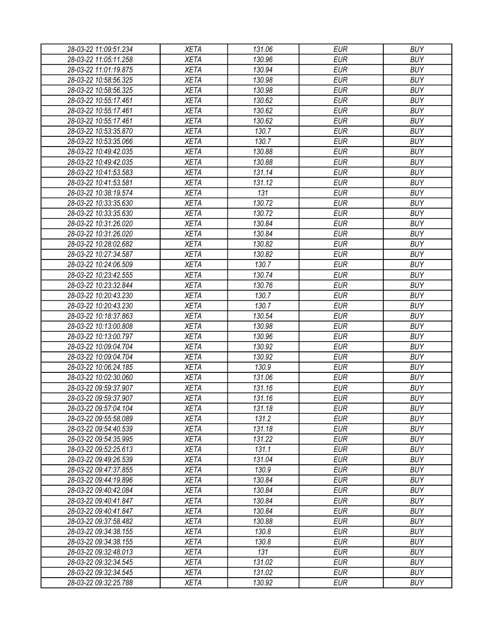| 28-03-22 11:09:51.234 | <b>XETA</b> | 131.06 | <b>EUR</b> | <b>BUY</b> |
|-----------------------|-------------|--------|------------|------------|
| 28-03-22 11:05:11.258 | <b>XETA</b> | 130.96 | <b>EUR</b> | <b>BUY</b> |
| 28-03-22 11:01:19.875 | <b>XETA</b> | 130.94 | <b>EUR</b> | <b>BUY</b> |
| 28-03-22 10:58:56.325 | <b>XETA</b> | 130.98 | <b>EUR</b> | <b>BUY</b> |
| 28-03-22 10:58:56.325 | <b>XETA</b> | 130.98 | <b>EUR</b> | <b>BUY</b> |
| 28-03-22 10:55:17.461 | <b>XETA</b> | 130.62 | <b>EUR</b> | <b>BUY</b> |
| 28-03-22 10:55:17.461 | <b>XETA</b> | 130.62 | <b>EUR</b> | <b>BUY</b> |
| 28-03-22 10:55:17.461 | <b>XETA</b> | 130.62 | <b>EUR</b> | <b>BUY</b> |
| 28-03-22 10:53:35.870 | <b>XETA</b> | 130.7  | <b>EUR</b> | <b>BUY</b> |
| 28-03-22 10:53:35.066 | <b>XETA</b> | 130.7  | <b>EUR</b> | <b>BUY</b> |
| 28-03-22 10:49:42.035 | <b>XETA</b> | 130.88 | <b>EUR</b> | <b>BUY</b> |
| 28-03-22 10:49:42.035 | <b>XETA</b> | 130.88 | <b>EUR</b> | <b>BUY</b> |
| 28-03-22 10:41:53.583 | <b>XETA</b> | 131.14 | <b>EUR</b> | <b>BUY</b> |
| 28-03-22 10:41:53.581 | <b>XETA</b> | 131.12 | <b>EUR</b> | <b>BUY</b> |
| 28-03-22 10:38:19.574 | <b>XETA</b> | 131    | <b>EUR</b> | <b>BUY</b> |
| 28-03-22 10:33:35.630 | <b>XETA</b> | 130.72 | <b>EUR</b> | <b>BUY</b> |
| 28-03-22 10:33:35.630 | <b>XETA</b> | 130.72 | <b>EUR</b> | <b>BUY</b> |
| 28-03-22 10:31:26.020 | <b>XETA</b> | 130.84 | <b>EUR</b> | <b>BUY</b> |
| 28-03-22 10:31:26.020 | <b>XETA</b> | 130.84 | <b>EUR</b> | <b>BUY</b> |
| 28-03-22 10:28:02.682 | <b>XETA</b> | 130.82 | <b>EUR</b> | <b>BUY</b> |
| 28-03-22 10:27:34.587 | <b>XETA</b> | 130.82 | <b>EUR</b> | <b>BUY</b> |
| 28-03-22 10:24:06.509 | <b>XETA</b> | 130.7  | <b>EUR</b> | <b>BUY</b> |
| 28-03-22 10:23:42.555 | <b>XETA</b> | 130.74 | <b>EUR</b> | <b>BUY</b> |
| 28-03-22 10:23:32.844 | <b>XETA</b> | 130.76 | <b>EUR</b> | <b>BUY</b> |
| 28-03-22 10:20:43.230 | <b>XETA</b> | 130.7  | <b>EUR</b> | <b>BUY</b> |
| 28-03-22 10:20:43.230 | <b>XETA</b> | 130.7  | <b>EUR</b> | <b>BUY</b> |
| 28-03-22 10:18:37.863 | <b>XETA</b> | 130.54 | <b>EUR</b> | <b>BUY</b> |
| 28-03-22 10:13:00.808 | <b>XETA</b> | 130.98 | <b>EUR</b> | <b>BUY</b> |
| 28-03-22 10:13:00.797 | <b>XETA</b> | 130.96 | <b>EUR</b> | <b>BUY</b> |
| 28-03-22 10:09:04.704 | <b>XETA</b> | 130.92 | <b>EUR</b> | <b>BUY</b> |
| 28-03-22 10:09:04.704 | <b>XETA</b> | 130.92 | <b>EUR</b> | <b>BUY</b> |
| 28-03-22 10:06:24.185 | <b>XETA</b> | 130.9  | <b>EUR</b> | <b>BUY</b> |
| 28-03-22 10:02:30.060 | <b>XETA</b> | 131.06 | <b>EUR</b> | <b>BUY</b> |
| 28-03-22 09:59:37.907 | <b>XETA</b> | 131.16 | <b>EUR</b> | <b>BUY</b> |
| 28-03-22 09:59:37.907 | <b>XETA</b> | 131.16 | <b>EUR</b> | <b>BUY</b> |
| 28-03-22 09:57:04.104 | <b>XETA</b> | 131.18 | <b>EUR</b> | <b>BUY</b> |
| 28-03-22 09:55:58.089 | <b>XETA</b> | 131.2  | <b>EUR</b> | <b>BUY</b> |
| 28-03-22 09:54:40.539 | <b>XETA</b> | 131.18 | <b>EUR</b> | <b>BUY</b> |
| 28-03-22 09:54:35.995 | <b>XETA</b> | 131.22 | <b>EUR</b> | <b>BUY</b> |
| 28-03-22 09:52:25.613 | <b>XETA</b> | 131.1  | <b>EUR</b> | <b>BUY</b> |
|                       |             |        | <b>EUR</b> | <b>BUY</b> |
| 28-03-22 09:49:26.539 | <b>XETA</b> | 131.04 |            | <b>BUY</b> |
| 28-03-22 09:47:37.855 | <b>XETA</b> | 130.9  | <b>EUR</b> | <b>BUY</b> |
| 28-03-22 09:44:19.896 | <b>XETA</b> | 130.84 | <b>EUR</b> |            |
| 28-03-22 09:40:42.084 | <b>XETA</b> | 130.84 | <b>EUR</b> | <b>BUY</b> |
| 28-03-22 09:40:41.847 | <b>XETA</b> | 130.84 | <b>EUR</b> | <b>BUY</b> |
| 28-03-22 09:40:41.847 | <b>XETA</b> | 130.84 | <b>EUR</b> | <b>BUY</b> |
| 28-03-22 09:37:58.482 | <b>XETA</b> | 130.88 | <b>EUR</b> | <b>BUY</b> |
| 28-03-22 09:34:38.155 | XETA        | 130.8  | <b>EUR</b> | <b>BUY</b> |
| 28-03-22 09:34:38.155 | <b>XETA</b> | 130.8  | <b>EUR</b> | <b>BUY</b> |
| 28-03-22 09:32:48.013 | <b>XETA</b> | 131    | <b>EUR</b> | <b>BUY</b> |
| 28-03-22 09:32:34.545 | <b>XETA</b> | 131.02 | <b>EUR</b> | <b>BUY</b> |
| 28-03-22 09:32:34.545 | XETA        | 131.02 | <b>EUR</b> | <b>BUY</b> |
| 28-03-22 09:32:25.788 | XETA        | 130.92 | <b>EUR</b> | <b>BUY</b> |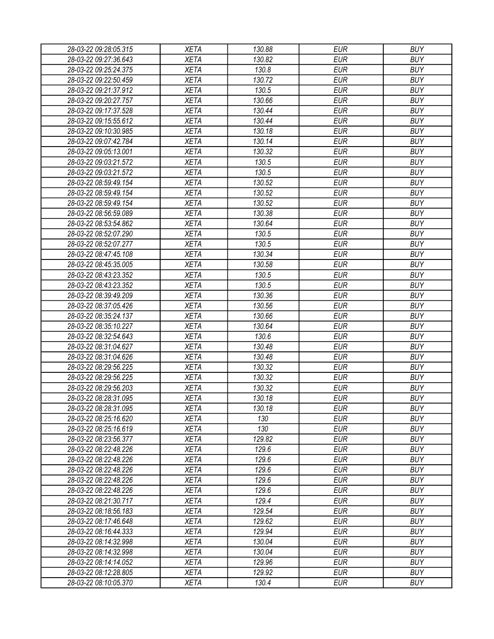| 28-03-22 09:28:05.315 | <b>XETA</b> | 130.88         | <b>EUR</b> | <b>BUY</b>               |
|-----------------------|-------------|----------------|------------|--------------------------|
| 28-03-22 09:27:36.643 | <b>XETA</b> | 130.82         | <b>EUR</b> | <b>BUY</b>               |
| 28-03-22 09:25:24.375 | <b>XETA</b> | 130.8          | <b>EUR</b> | <b>BUY</b>               |
| 28-03-22 09:22:50.459 | <b>XETA</b> | 130.72         | <b>EUR</b> | <b>BUY</b>               |
| 28-03-22 09:21:37.912 | <b>XETA</b> | 130.5          | <b>EUR</b> | <b>BUY</b>               |
| 28-03-22 09:20:27.757 | <b>XETA</b> | 130.66         | <b>EUR</b> | <b>BUY</b>               |
| 28-03-22 09:17:37.528 | <b>XETA</b> | 130.44         | <b>EUR</b> | <b>BUY</b>               |
| 28-03-22 09:15:55.612 | <b>XETA</b> | 130.44         | <b>EUR</b> | <b>BUY</b>               |
| 28-03-22 09:10:30.985 | <b>XETA</b> | 130.18         | <b>EUR</b> | <b>BUY</b>               |
| 28-03-22 09:07:42.784 | <b>XETA</b> | 130.14         | <b>EUR</b> | <b>BUY</b>               |
| 28-03-22 09:05:13.001 | <b>XETA</b> | 130.32         | <b>EUR</b> | <b>BUY</b>               |
| 28-03-22 09:03:21.572 | <b>XETA</b> | 130.5          | <b>EUR</b> | <b>BUY</b>               |
| 28-03-22 09:03:21.572 | <b>XETA</b> | 130.5          | <b>EUR</b> | <b>BUY</b>               |
| 28-03-22 08:59:49.154 | <b>XETA</b> | 130.52         | <b>EUR</b> | <b>BUY</b>               |
| 28-03-22 08:59:49.154 | <b>XETA</b> | 130.52         | <b>EUR</b> | <b>BUY</b>               |
| 28-03-22 08:59:49.154 | <b>XETA</b> | 130.52         | <b>EUR</b> | <b>BUY</b>               |
| 28-03-22 08:56:59.089 | <b>XETA</b> | 130.38         | <b>EUR</b> | <b>BUY</b>               |
| 28-03-22 08:53:54.862 | <b>XETA</b> | 130.64         | <b>EUR</b> | <b>BUY</b>               |
| 28-03-22 08:52:07.290 | <b>XETA</b> | 130.5          | <b>EUR</b> | <b>BUY</b>               |
| 28-03-22 08:52:07.277 | <b>XETA</b> | 130.5          | <b>EUR</b> | <b>BUY</b>               |
| 28-03-22 08:47:45.108 | <b>XETA</b> | 130.34         | <b>EUR</b> | <b>BUY</b>               |
| 28-03-22 08:45:35.005 | <b>XETA</b> | 130.58         | <b>EUR</b> | <b>BUY</b>               |
| 28-03-22 08:43:23.352 | <b>XETA</b> | 130.5          | <b>EUR</b> | <b>BUY</b>               |
| 28-03-22 08:43:23.352 | <b>XETA</b> | 130.5          | <b>EUR</b> | <b>BUY</b>               |
| 28-03-22 08:39:49.209 | <b>XETA</b> | 130.36         | <b>EUR</b> | <b>BUY</b>               |
| 28-03-22 08:37:05.426 | <b>XETA</b> | 130.56         | <b>EUR</b> | <b>BUY</b>               |
| 28-03-22 08:35:24.137 | <b>XETA</b> | 130.66         | <b>EUR</b> | <b>BUY</b>               |
| 28-03-22 08:35:10.227 | <b>XETA</b> | 130.64         | <b>EUR</b> | <b>BUY</b>               |
| 28-03-22 08:32:54.643 | <b>XETA</b> | 130.6          | <b>EUR</b> | <b>BUY</b>               |
| 28-03-22 08:31:04.627 | <b>XETA</b> | 130.48         | <b>EUR</b> | <b>BUY</b>               |
| 28-03-22 08:31:04.626 | <b>XETA</b> | 130.48         | <b>EUR</b> | <b>BUY</b>               |
| 28-03-22 08:29:56.225 | <b>XETA</b> | 130.32         | <b>EUR</b> | <b>BUY</b>               |
| 28-03-22 08:29:56.225 | <b>XETA</b> | 130.32         | <b>EUR</b> | <b>BUY</b>               |
| 28-03-22 08:29:56.203 | <b>XETA</b> | 130.32         | <b>EUR</b> | <b>BUY</b>               |
| 28-03-22 08:28:31.095 | <b>XETA</b> | 130.18         | <b>EUR</b> | <b>BUY</b>               |
| 28-03-22 08:28:31.095 | <b>XETA</b> | 130.18         | <b>EUR</b> | <b>BUY</b>               |
| 28-03-22 08:25:16.620 | <b>XETA</b> | 130            | <b>EUR</b> | <b>BUY</b>               |
| 28-03-22 08:25:16.619 | <b>XETA</b> | 130            | <b>EUR</b> | <b>BUY</b>               |
| 28-03-22 08:23:56.377 | <b>XETA</b> | 129.82         | <b>EUR</b> | <b>BUY</b>               |
| 28-03-22 08:22:48.226 | <b>XETA</b> | 129.6          | <b>EUR</b> | <b>BUY</b>               |
|                       | <b>XETA</b> | 129.6          | <b>EUR</b> | <b>BUY</b>               |
| 28-03-22 08:22:48.226 |             |                |            |                          |
| 28-03-22 08:22:48.226 | <b>XETA</b> | 129.6<br>129.6 | <b>EUR</b> | <b>BUY</b><br><b>BUY</b> |
| 28-03-22 08:22:48.226 | <b>XETA</b> |                | <b>EUR</b> |                          |
| 28-03-22 08:22:48.226 | <b>XETA</b> | 129.6          | <b>EUR</b> | <b>BUY</b>               |
| 28-03-22 08:21:30.717 | <b>XETA</b> | 129.4          | <b>EUR</b> | <b>BUY</b>               |
| 28-03-22 08:18:56.183 | <b>XETA</b> | 129.54         | <b>EUR</b> | <b>BUY</b>               |
| 28-03-22 08:17:46.648 | <b>XETA</b> | 129.62         | <b>EUR</b> | <b>BUY</b>               |
| 28-03-22 08:16:44.333 | <b>XETA</b> | 129.94         | <b>EUR</b> | <b>BUY</b>               |
| 28-03-22 08:14:32.998 | <b>XETA</b> | 130.04         | <b>EUR</b> | <b>BUY</b>               |
| 28-03-22 08:14:32.998 | <b>XETA</b> | 130.04         | <b>EUR</b> | <b>BUY</b>               |
| 28-03-22 08:14:14.052 | <b>XETA</b> | 129.96         | <b>EUR</b> | <b>BUY</b>               |
| 28-03-22 08:12:28.805 | <b>XETA</b> | 129.92         | <b>EUR</b> | <b>BUY</b>               |
| 28-03-22 08:10:05.370 | <b>XETA</b> | 130.4          | <b>EUR</b> | <b>BUY</b>               |